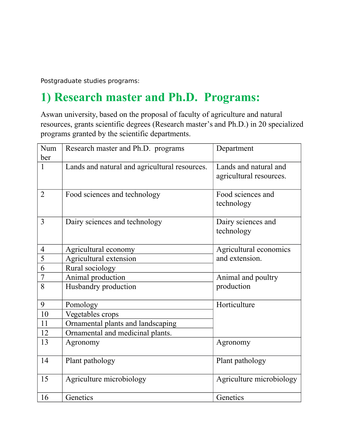Postgraduate studies programs:

## **1) Research master and Ph.D. Programs:**

Aswan university, based on the proposal of faculty of agriculture and natural resources, grants scientific degrees (Research master's and Ph.D.) in 20 specialized programs granted by the scientific departments.

| Num            | Research master and Ph.D. programs            | Department                                       |
|----------------|-----------------------------------------------|--------------------------------------------------|
| ber            |                                               |                                                  |
| $\mathbf{1}$   | Lands and natural and agricultural resources. | Lands and natural and<br>agricultural resources. |
|                |                                               |                                                  |
| 2              | Food sciences and technology                  | Food sciences and                                |
|                |                                               | technology                                       |
| 3              | Dairy sciences and technology                 | Dairy sciences and                               |
|                |                                               | technology                                       |
| $\overline{4}$ | Agricultural economy                          | Agricultural economics                           |
| 5              | Agricultural extension                        | and extension.                                   |
| 6              | Rural sociology                               |                                                  |
| $\overline{7}$ | Animal production                             | Animal and poultry                               |
| 8              | Husbandry production                          | production                                       |
| 9              | Pomology                                      | Horticulture                                     |
| 10             | Vegetables crops                              |                                                  |
| 11             | Ornamental plants and landscaping             |                                                  |
| 12             | Ornamental and medicinal plants.              |                                                  |
| 13             | Agronomy                                      | Agronomy                                         |
| 14             | Plant pathology                               | Plant pathology                                  |
| 15             | Agriculture microbiology                      | Agriculture microbiology                         |
| 16             | Genetics                                      | Genetics                                         |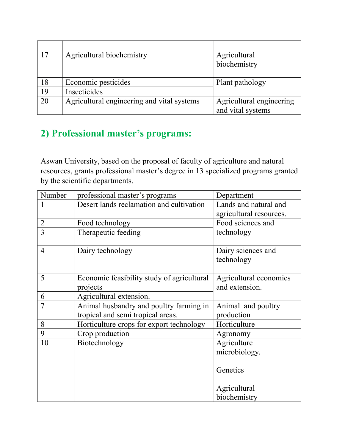| 17 | Agricultural biochemistry                  | Agricultural             |
|----|--------------------------------------------|--------------------------|
|    |                                            | biochemistry             |
|    |                                            |                          |
| 18 | Economic pesticides                        | Plant pathology          |
| 19 | Insecticides                               |                          |
| 20 | Agricultural engineering and vital systems | Agricultural engineering |
|    |                                            | and vital systems        |

## **2) Professional master's programs:**

Aswan University, based on the proposal of faculty of agriculture and natural resources, grants professional master's degree in 13 specialized programs granted by the scientific departments.

| Number         | professional master's programs             | Department              |
|----------------|--------------------------------------------|-------------------------|
|                | Desert lands reclamation and cultivation   | Lands and natural and   |
|                |                                            | agricultural resources. |
| $\overline{2}$ | Food technology                            | Food sciences and       |
| 3              | Therapeutic feeding                        | technology              |
|                |                                            |                         |
| $\overline{4}$ | Dairy technology                           | Dairy sciences and      |
|                |                                            | technology              |
|                |                                            |                         |
| 5              | Economic feasibility study of agricultural | Agricultural economics  |
|                | projects                                   | and extension.          |
| 6              | Agricultural extension.                    |                         |
| $\overline{7}$ | Animal husbandry and poultry farming in    | Animal and poultry      |
|                | tropical and semi tropical areas.          | production              |
| 8              | Horticulture crops for export technology   | Horticulture            |
| 9              | Crop production                            | Agronomy                |
| 10             | Biotechnology                              | Agriculture             |
|                |                                            | microbiology.           |
|                |                                            |                         |
|                |                                            | Genetics                |
|                |                                            |                         |
|                |                                            | Agricultural            |
|                |                                            | biochemistry            |